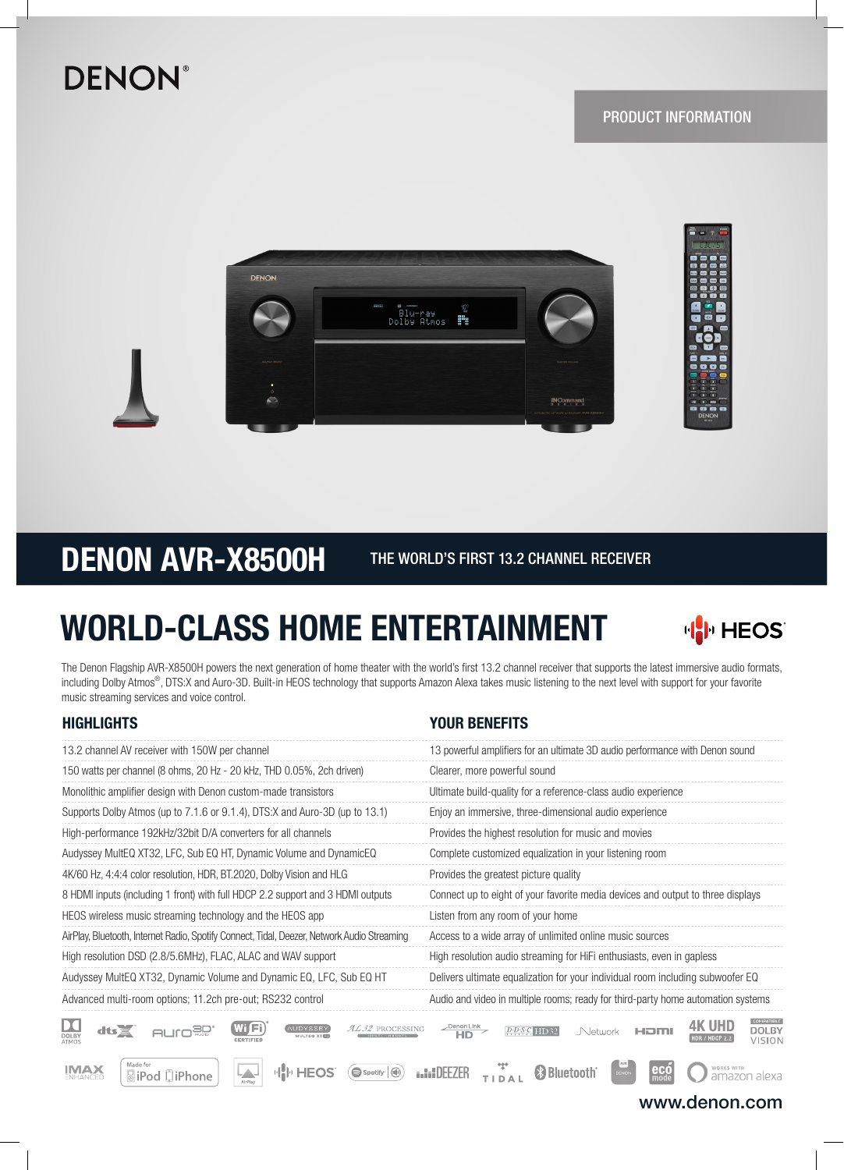## **DENON®**





DENON AVR-X8500H THE WORLD'S FIRST 13.2 CHANNEL RECEIVER

# WORLD-CLASS HOME ENTERTAINMENT



The Denon Flagship AVR-X8500H powers the next generation of home theater with the world's first 13.2 channel receiver that supports the latest immersive audio formats, including Dolby Atmos®, DTS:X and Auro-3D. Built-in HEOS technology that supports Amazon Alexa takes music listening to the next level with support for your favorite music streaming services and voice control.

## HIGHLIGHTS YOUR BENEFITS

| 13.2 channel AV receiver with 150W per channel                                              | 13 powerful amplifiers for an ultimate 3D audio performance with Denon sound     |  |  |
|---------------------------------------------------------------------------------------------|----------------------------------------------------------------------------------|--|--|
| 150 watts per channel (8 ohms, 20 Hz - 20 kHz, THD 0.05%, 2ch driven)                       | Clearer, more powerful sound                                                     |  |  |
| Monolithic amplifier design with Denon custom-made transistors                              | Ultimate build-quality for a reference-class audio experience                    |  |  |
| Supports Dolby Atmos (up to 7.1.6 or 9.1.4), DTS:X and Auro-3D (up to 13.1)                 | Enjoy an immersive, three-dimensional audio experience                           |  |  |
| High-performance 192kHz/32bit D/A converters for all channels                               | Provides the highest resolution for music and movies                             |  |  |
| Audyssey MultEQ XT32, LFC, Sub EQ HT, Dynamic Volume and DynamicEQ                          | Complete customized equalization in your listening room                          |  |  |
| 4K/60 Hz, 4:4:4 color resolution, HDR, BT.2020, Dolby Vision and HLG                        | Provides the greatest picture quality                                            |  |  |
| 8 HDMI inputs (including 1 front) with full HDCP 2.2 support and 3 HDMI outputs             | Connect up to eight of your favorite media devices and output to three displays  |  |  |
| HEOS wireless music streaming technology and the HEOS app                                   | Listen from any room of your home                                                |  |  |
| AirPlay, Bluetooth, Internet Radio, Spotify Connect, Tidal, Deezer, Network Audio Streaming | Access to a wide array of unlimited online music sources                         |  |  |
| High resolution DSD (2.8/5.6MHz), FLAC, ALAC and WAV support                                | High resolution audio streaming for HiFi enthusiasts, even in gapless            |  |  |
| Audyssey MultEQ XT32, Dynamic Volume and Dynamic EQ, LFC, Sub EQ HT                         | Delivers ultimate equalization for your individual room including subwoofer EQ   |  |  |
| Advanced multi-room options; 11.2ch pre-out; RS232 control                                  | Audio and video in multiple rooms; ready for third-party home automation systems |  |  |
|                                                                                             |                                                                                  |  |  |

 $D_{\text{OLBY}}$ **4K UHD AUro<sup>go</sup>** WIFI **AUDYSSEY** AL32 PROCESSING **DOLBY**  $dts$  $\overline{\mathsf{H}}$ Denon Link **DDSC** HD32 Network HOMI **HDR / HDCP 2.2 VISION** de fo **IMAX**  $\mathbf{e}$ có HIIIHEOS Spotify **(a) In DEEZER Bluetooth** LД. works with<br>amazon alexa **BiPod 口iPhone** TIDAL

www.denon.com